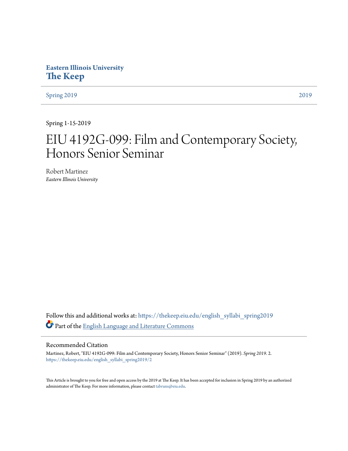**Eastern Illinois University [The Keep](https://thekeep.eiu.edu?utm_source=thekeep.eiu.edu%2Fenglish_syllabi_spring2019%2F2&utm_medium=PDF&utm_campaign=PDFCoverPages)**

[Spring 2019](https://thekeep.eiu.edu/english_syllabi_spring2019?utm_source=thekeep.eiu.edu%2Fenglish_syllabi_spring2019%2F2&utm_medium=PDF&utm_campaign=PDFCoverPages) [2019](https://thekeep.eiu.edu/english_syllabi2019?utm_source=thekeep.eiu.edu%2Fenglish_syllabi_spring2019%2F2&utm_medium=PDF&utm_campaign=PDFCoverPages)

Spring 1-15-2019

# EIU 4192G-099: Film and Contemporary Society, Honors Senior Seminar

Robert Martinez *Eastern Illinois University*

Follow this and additional works at: [https://thekeep.eiu.edu/english\\_syllabi\\_spring2019](https://thekeep.eiu.edu/english_syllabi_spring2019?utm_source=thekeep.eiu.edu%2Fenglish_syllabi_spring2019%2F2&utm_medium=PDF&utm_campaign=PDFCoverPages) Part of the [English Language and Literature Commons](http://network.bepress.com/hgg/discipline/455?utm_source=thekeep.eiu.edu%2Fenglish_syllabi_spring2019%2F2&utm_medium=PDF&utm_campaign=PDFCoverPages)

# Recommended Citation

Martinez, Robert, "EIU 4192G-099: Film and Contemporary Society, Honors Senior Seminar" (2019). *Spring 2019*. 2. [https://thekeep.eiu.edu/english\\_syllabi\\_spring2019/2](https://thekeep.eiu.edu/english_syllabi_spring2019/2?utm_source=thekeep.eiu.edu%2Fenglish_syllabi_spring2019%2F2&utm_medium=PDF&utm_campaign=PDFCoverPages)

This Article is brought to you for free and open access by the 2019 at The Keep. It has been accepted for inclusion in Spring 2019 by an authorized administrator of The Keep. For more information, please contact [tabruns@eiu.edu.](mailto:tabruns@eiu.edu)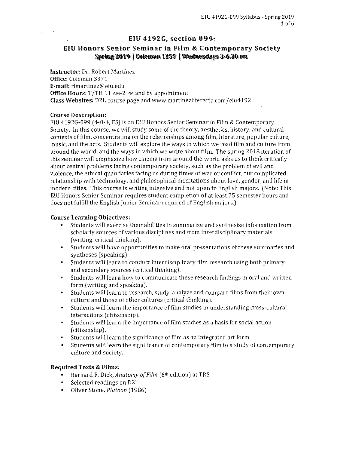# EIU 4192G, section 099:

# EIU Honors Senior Seminar in Film & Contemporary Society Spring 2019 | Coleman 1255 | Wednesdays 3-6.20 PM

Instructor: Dr. Robert Martinez Office: Coleman 3371 E-mail: rlmartinez@eiu.edu Office Hours: T/TH 11 AM-2 PM and by appointment Class Websites: D2L course page and www.martinezliteraria.com/eiu4192

#### Course Description:

EIU 4192G-099 (4-0-4, FS] is an EIU Honors Senior Seminar in Film & Contemporary Society. In this course, we will study some of the theory, aesthetics, history, and cultural contexts of film, concentrating on the relationships among film, literature, popular culture, music, and the arts. Students will explore the ways in which we read film and culture from around the world, and the ways in which we write about film. The spring 2018 iteration of this seminar will emphasize how cinema from around the world asks us to think critically about central problems facing contemporary society, such as the problem of evil and violence, the ethical quandaries facing us during times of war or conflict, our complicated relationship with technology, and philosophical meditations about Jove, gender, and life in modern cities. This course is writing intensive and not open to English majors. (Note: This EIU Honors Senior Seminar requires student completion of at least 75 semester hours and does not fulfill the English junior Seminar required of English majors.)

#### Course Learning Objectives:

- Students will exercise their abilities to summarize and synthesize information from scholarly sources of various disciplines and from interdisciplinary materials (writing, critical thinking).
- Students will have opportunities to make oral presentations of these summaries and syntheses (speaking).
- Students will learn to conduct interdisciplinary film research using both primary and secondary sources (critical thinking].
- Students will learn how to communicate these research findings in oral and written form (writing and speaking).
- Students will learn to research, study, analyze and compare films from their own culture and those of other cultures (critical thinking).
- Students will learn the importance of film studies in understanding cross-cultural interactions (citizenship).
- Students will learn the importance of film studies as a basis for social action (citizenship).
- Students will learn the significance of film as an integrated art form.
- Students will learn the significance of contemporary film to a study of contemporary culture and society.

#### Required Texts & Films:

- Bernard F. Dick, *Anatomy of Film* (6<sup>th</sup> edition) at TRS
- Selected readings on D2L
- Oliver Stone, *Platoon* (1986)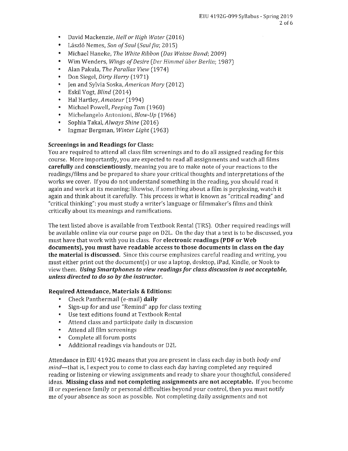- David Mackenzie, *Hell or High Water* (2016)
- László Nemes, *Son of Saul (Saul fia; 2015)*
- Michael Haneke, *The White Ribbon (Das Weisse Band;* 2009)
- Wim Wenders, *Wings of Desire (Der Himmel iiber Berlin;* 1987)
- Alan Pakula, *The Parallax View* (1974)
- Don Siegel, *Dirty Harry* (1971)
- Jen and Sylvia Saska, *American Mary* (2012)
- Eskil Vogt, *Blind* (2014)
- Hal Hartley, *Amateur* (1994)
- Michael Powell, *Peeping Tom* (1960)
- Michelangelo Antonioni, *Blow-Up* (1966)
- Sophia Takal, *Always Shine* (2016)
- Ingmar Bergman, *Winter light* (1963)

# **Screenings in and Readings for Class:**

You are required to attend all class film screenings and to do all assigned reading for this course. More importantly, you are expected to read all assignments and watch all films **carefully** and **conscientiously,** meaning you are to make note of your reactions to the readings/films and be prepared to share your critical thoughts and interpretations of the works we cover. lfyou do not understand something in the reading, you should read it again and work at its meaning; likewise, if something about a film is perplexing, watch it again and think about it carefully. This process is what is known as "critical reading" and "critical thinking": you must study a writer's language or filmmaker's films and think critically about its meanings and ramifications.

The text listed above is available from Textbook Rental (TRS). Other required readings will be available online via our course page on D2L. On the day that a text is to be discussed, you must have that work with you in class. For **electronic readings (PDF or Web documents), you must have readable access to those documents in class on the day the material is discussed.** Since this course emphasizes careful reading and writing, you must either print out the document(s) or use a laptop, desktop, iPad, Kindle, or Nook to view them. *Using Smartphones to view readings for class discussion* **is** *not acceptable, unless directed to do* **so** *by the instructor.* 

# **Required Attendance, Materials & Editions:**

- Check Panthermail (e-mail) **daily**
- Sign-up for and use "Remind" app for class texting
- Use text editions found at Textbook Rental
- Attend class and participate daily in discussion
- Attend all film screenings
- Complete all forum posts
- Additional readings via handouts or DZL

Attendance in EIU 4192G means that you are present in class each day in both *body and mind*—that is, I expect you to come to class each day having completed any required reading or listening or viewing assignments and ready to share your thoughtful, considered ideas. **Missing class and not completing assignments are not acceptable.** If you become ill or experience family or personal difficulties beyond your control, then you must notify me of your absence as soon as possible. Not completing daily assignments and not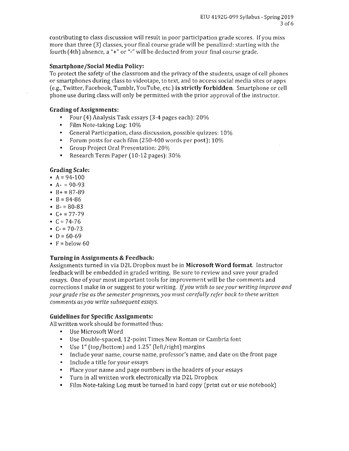contributing to class discussion will result in poor participation grade scores. If you miss more than three (3} classes, your final course grade will be penalized: starting with the fourth (4th) absence, a "+" or "-" will be deducted from your final course grade.

# Smartphone/Social Media Policy:

To protect the safety of the classroom and the privacy of the students, usage of cell phones or smartphones during class to videotape, to text, and to access social media sites or apps (e.g., Twitter, Facebook, Tumblr, YouTube, etc.} is strictly forbidden. Smartphone or cell phone use during class will only be permitted with the prior approval of the instructor.

# Grading of Assignments:

- Four ( 4} Analysis Task essays (3-4 pages each): 20%
- Film Note-taking Log: 10%
- General Participation, class discussion, possible quizzes: 10%
- Forum posts for each film (250-400 words per post): 10%
- Group Project Oral Presentation: 20%
- Research Term Paper (10-12 pages}: 30%

# Grading Scale:

- $A = 94-100$
- $A 90.93$
- $B = 87-89$
- $B = 84 86$
- $B 80 83$
- $C+ = 77-79$
- $C = 74-76$
- $C = 70-73$
- $D = 60-69$
- $F = \text{below } 60$

# Turning in Assignments & Feedback:

Assignments turned in via D2L Dropbox must be in Microsoft Word format. Instructor feedback will be embedded in graded writing. Be sure to review and save your graded essays. One of your most important tools for improvement will be the comments and corrections I make in or suggest to your writing. *If you wish to see your writing improve and your grade rise as the semester progresses, you must carefully refer back to these written comments as you write subsequent essays.* 

# Guidelines for Specific Assignments:

All written work should be formatted thus:

- Use Microsoft Word
- Use Double-spaced, 12-point Times New Roman or Cambria font
- Use 1" (top/bottom} and 1.25" (left/right} margins
- Include your name, course name, professor's name, and date on the front page
- Include a title for your essays
- Place your name and page numbers in the headers of your essays
- Turn in all written work electronically via D2L Dropbox
- Film Note-taking Log must be turned in hard copy (print out or use notebook)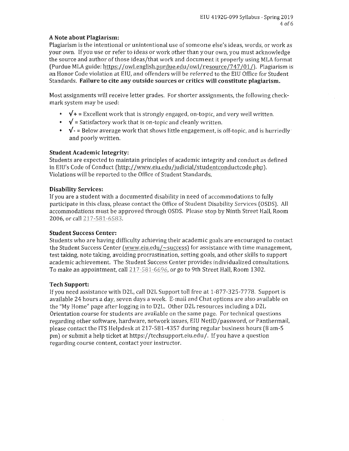# **A Note about Plagiarism:**

Plagiarism is the intentional or unintentional use of someone else's ideas, words, or work as your own. lfyou use or refer to ideas or work other than your own, you must acknowledge the source and author of those ideas/that work and document it properly using MLA format (Purdue MLA guide: https://owl.english.purdue.edu/owl/resource/747/01/). Plagiarism is an Honor Code violation at EIU, and offenders will be referred to the EIU Office for Student Standards. **Failure to cite any outside sources or critics will constitute plagiarism.** 

Most assignments will receive letter grades. For shorter assignments, the following checkmark system may be used:

- $\sqrt{+}$  = Excellent work that is strongly engaged, on-topic, and very well written.
- $\sqrt{\ }$  = Satisfactory work that is on-topic and cleanly written.
- $\sqrt{\cdot}$  = Below average work that shows little engagement, is off-topic, and is hurriedly and poorly written.

# **Student Academic Integrity:**

Students are expected to maintain principles of academic integrity and conduct as defined in EIU's Code of Conduct (http://www.eiu.edu/judicial/studentconductcode.php). Violations will be reported to the Office of Student Standards.

# **Disability Services:**

If you are a student with a documented disability in need of accommodations to fully participate in this class, please contact the Office of Student Disability Services (OSDS). All accommodations must be approved through OSDS. Please stop by Ninth Street Hall, Room 2006, or call 217-581-6583.

# **Student Success Center:**

Students who are having difficulty achieving their academic goals are encouraged to contact the Student Success Center (www.eiu.edu/ $\sim$ success) for assistance with time management, test taking, note taking, avoiding procrastination, setting goals, and other skills to support academic achievement. The Student Success Center provides individualized consultations. To make an appointment, call  $217-581-6696$ , or go to 9th Street Hall, Room 1302.

# **Tech Support:**

lf you need assistance with D2L, call D2L Support toll free at 1-877-325-7778. Support is available 24 hours a day, seven days a week E-mail and Chat options are also available on the "My Home" page after logging in to D2L. Other D2L resources including a D2L Orientation course for students are available on the same page. For technical questions regarding other software, hardware, network issues, EIU NetID/password, or Panthermail, please contact the ITS Helpdesk at 217-581-4357 during regular business hours (8 am-5 pm) or submit a help ticket athttps://techsupport.eiu.edu/. If you have a question regarding course content, contact your instructor.

 $\cdot$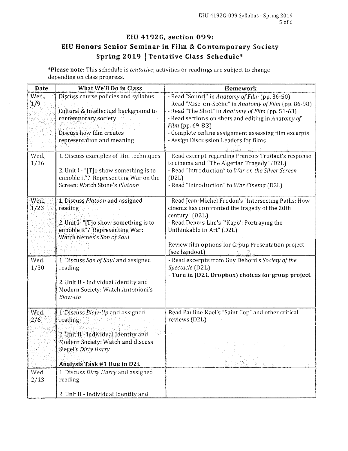# EIU 4192G, section 099: EIU Honors Senior Seminar in Film & Contemporary Society Spring 2019 | Tentative Class Schedule\*

\*Please note: This schedule is *tentative;* activities or readings are subject to change depending on class progress.

| Date          | What We'll Do in Class                                                                                                                                                                | Homework                                                                                                                                                                                                                                                                                                                              |
|---------------|---------------------------------------------------------------------------------------------------------------------------------------------------------------------------------------|---------------------------------------------------------------------------------------------------------------------------------------------------------------------------------------------------------------------------------------------------------------------------------------------------------------------------------------|
| Wed.,<br>1/9  | Discuss course policies and syllabus<br>Cultural & Intellectual background to<br>contemporary society<br>Discuss how film creates<br>representation and meaning                       | - Read "Sound" in Anatomy of Film (pp. 36-50)<br>- Read "Mise-en-Scéne" in Anatomy of Film (pp. 86-98)<br>- Read "The Shot" in Anatomy of Film (pp. 51-63)<br>- Read sections on shots and editing in Anatomy of<br>Film (pp. 69-83)<br>- Complete online assignment assessing film excerpts<br>- Assign Discussion Leaders for films |
| Wed.,<br>1/16 | 1. Discuss examples of film techniques<br>2. Unit I - "[T]o show something is to<br>ennoble it"? Representing War on the<br>Screen: Watch Stone's Platoon                             | - Read excerpt regarding Francois Truffaut's response<br>to cinema and "The Algerian Tragedy" (D2L)<br>- Read "Introduction" to War on the Silver Screen<br>(D2L)<br>- Read "Introduction" to War Cinema (D2L)                                                                                                                        |
| Wed.,<br>1/23 | 1. Discuss Platoon and assigned<br>reading<br>2. Unit I- "[T]o show something is to<br>ennoble it"? Representing War:<br>Watch Nemes's Son of Saul                                    | - Read Jean-Michel Frodon's "Intersecting Paths: How<br>cinema has confronted the tragedy of the 20th<br>century" (D2L)<br>- Read Dennis Lim's "'Kapò': Portraying the<br>Unthinkable in Art" (D2L)<br>Review film options for Group Presentation project<br>(see handout)                                                            |
| Wed.<br>1/30  | 1. Discuss Son of Saul and assigned<br>reading<br>2. Unit II - Individual Identity and<br>Modern Society: Watch Antonioni's<br>Blow-Up                                                | - Read excerpts from Guy Debord's Society of the<br>Spectacle (D2L)<br>- Turn in (D2L Dropbox) choices for group project                                                                                                                                                                                                              |
| Wed.,<br>2/6  | 1. Discuss Blow-Up and assigned<br>reading<br>2. Unit II - Individual Identity and<br>Modern Society: Watch and discuss<br><b>Siegel's Dirty Harry</b><br>Analysis Task #1 Due in D2L | Read Pauline Kael's "Saint Cop" and other critical<br>reviews (D2L)                                                                                                                                                                                                                                                                   |
| Wed.,<br>2/13 | 1. Discuss Dirty Harry and assigned<br>reading                                                                                                                                        |                                                                                                                                                                                                                                                                                                                                       |
|               | 2. Unit II - Individual Identity and                                                                                                                                                  |                                                                                                                                                                                                                                                                                                                                       |

 $\sim$ 

 $\mathcal{L}_{\mathcal{L}}$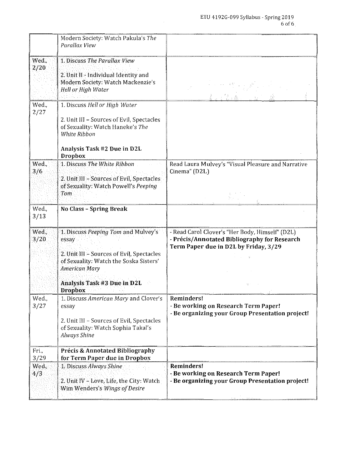|               | Modern Society: Watch Pakula's The<br>Parallax View                                                                                                                             |                                                                                                                                          |
|---------------|---------------------------------------------------------------------------------------------------------------------------------------------------------------------------------|------------------------------------------------------------------------------------------------------------------------------------------|
| Wed.<br>2/20  | 1. Discuss The Parallax View<br>2. Unit II - Individual Identity and<br>Modern Society: Watch Mackenzie's<br>Hell or High Water                                                 |                                                                                                                                          |
| Wed.<br>2/27  | 1. Discuss Hell or High Water<br>2. Unit III - Sources of Evil, Spectacles<br>of Sexuality: Watch Haneke's The<br>White Ribbon<br>Analysis Task #2 Due in D2L<br><b>Dropbox</b> |                                                                                                                                          |
| Wed.,<br>3/6  | 1. Discuss The White Ribbon<br>2. Unit III - Sources of Evil, Spectacles<br>of Sexuality: Watch Powell's Peeping<br>Tom                                                         | Read Laura Mulvey's "Visual Pleasure and Narrative<br>Cinema" (D2L)                                                                      |
| Wed.<br>3/13  | No Class - Spring Break                                                                                                                                                         |                                                                                                                                          |
| Wed.,<br>3/20 | 1. Discuss Peeping Tom and Mulvey's<br>essay<br>2. Unit III - Sources of Evil, Spectacles<br>of Sexuality: Watch the Soska Sisters'<br><b>American Mary</b>                     | - Read Carol Clover's "Her Body, Himself" (D2L)<br>- Précis/Annotated Bibliography for Research<br>Term Paper due in D2L by Friday, 3/29 |
|               | Analysis Task #3 Due in D2L<br><b>Dropbox</b>                                                                                                                                   | 计变态                                                                                                                                      |
| Wed.,<br>3/27 | 1. Discuss American Mary and Clover's<br>essay<br>2. Unit III - Sources of Evil, Spectacles<br>of Sexuality: Watch Sophia Takal's<br><b>Always Shine</b>                        | Reminders!<br>- Be working on Research Term Paper!<br>- Be organizing your Group Presentation project!                                   |
| Fri.,<br>3/29 | Précis & Annotated Bibliography<br>for Term Paper due in Dropbox                                                                                                                |                                                                                                                                          |
| Wed.<br>4/3   | 1. Discuss Always Shine<br>2. Unit IV - Love, Life, the City: Watch<br>Wim Wenders's Wings of Desire                                                                            | Reminders!<br>- Be working on Research Term Paper!<br>- Be organizing your Group Presentation project!                                   |